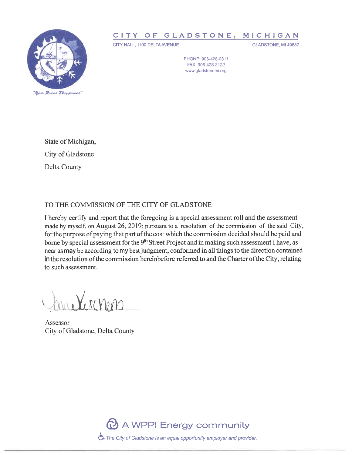

## CITY OF GLADSTONE, MICHIGAN

CITY HALL, 1100 DELTA AVENUE

GLADSTONE, MI 49837

PHONE: 906-428-2311 FAX: 906-428-3122 www.gladstonemi.org

State of Michigan, City of Gladstone Delta County

## TO THE COMMISSION OF THE CITY OF GLADSTONE

I hereby certify and report that the foregoing is a special assessment roll and the assessment made by myself, on August 26, 2019; pursuant to a resolution of the commission of the said City, for the purpose of paying that part of the cost which the commission decided should be paid and borne by special assessment for the 9<sup>th</sup> Street Project and in making such assessment I have, as near as may be according to my best judgment, conformed in all things to the direction contained in the resolution of the commission hereinbefore referred to and the Charter of the City, relating to such assessment.

a Vernen

Assessor City of Gladstone, Delta County

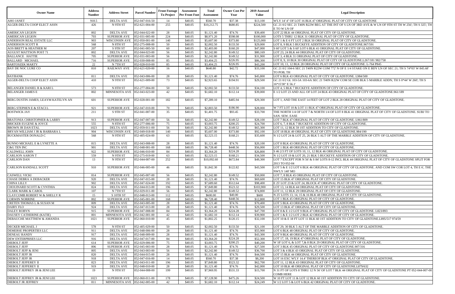| <b>Owner Name</b>                                     | <b>Address</b><br><b>Number</b> | <b>Address Street</b>                               | <b>Parcel Number</b> | <b>Front Footage</b><br><b>To Project</b> | <b>Assessment</b><br><b>Per Front Foot</b> | Total<br><b>Assessment</b> | <b>Owner Cost Per</b><br>Year | 2019 Assessed<br><b>Value</b> | <b>Legal Description</b>                                                                                                                           |
|-------------------------------------------------------|---------------------------------|-----------------------------------------------------|----------------------|-------------------------------------------|--------------------------------------------|----------------------------|-------------------------------|-------------------------------|----------------------------------------------------------------------------------------------------------------------------------------------------|
| <b>AHO JANET</b>                                      | 918.5                           | <b>DELTA AVE</b>                                    | 052-047-016-50       | 14                                        | \$40.05                                    | \$560.70                   | \$37.38                       | \$13,100                      | W'LY 14' 4" OF LOT 16 BLK 47 ORIGINAL PLAT OF CITY OF GLADSTONE                                                                                    |
| ALGER-DELTA COOP ELECT ASSN                           | 426                             | N 9TH ST                                            | 052-621-004-00       | 255                                       | \$40.05                                    | \$10,212.75                | \$680.85                      | \$224,500                     | GC 21 0/2 SEC 21 T40N R22W BEG AT THE INT OF S LN OF 3RD AVE & W LN OF 9TH ST TH V<br>E TO W LN OF                                                 |
| <b>AMERICAN LEGION</b>                                | 802                             | <b>DELTA AVE</b>                                    | 052-044-022-00       | 28                                        | \$40.05                                    | \$1,121.40                 | \$74.76                       | \$39,400                      | LOT 22 BLK 44 ORIGINAL PLAT OF CITY OF GLADSTONE.                                                                                                  |
| <b>AMERICAN LEGION</b>                                | 703                             | <b>SUPERIOR AVE</b>                                 | 052-031-005-00       | 224                                       | \$40.05                                    | \$8,971.20                 | \$598.08                      | \$100,000                     | LOTS 5 THRU 12 BLK 31 ORIGINAL PLAT OF CITY OF GLADSTONE.                                                                                          |
| ANDERSON REAL ESTATE LLC                              | 903                             | WISCONSIN AVE                                       | 052-050-001-00       | 140                                       | \$40.05                                    | \$5,607.00                 | \$373.80                      | \$125,000                     | LOT 1 & E 6 FT LOT 2 BLK 50 ORIGINAL PLAT OF CITY OF GLADSTONE.                                                                                    |
| <b>ANDERSON SCOTT R</b>                               | 568                             | N 8TH ST                                            | 052-275-008-00       | 50                                        | \$40.05                                    | \$2,002.50                 | \$133.50                      | \$29,000                      | LOT 8, 9 BLK 5 BUCKEYE ADDITION OF CITY OF GLADSTONE.967/591                                                                                       |
| AOS BRETT & HEATHER M                                 | 207                             | S 9TH ST                                            | 052-041-005-50       | 60                                        | \$40.05                                    | \$2,403.00                 | \$160.20                      | \$47,000                      | S 60' LOT 5 & S 60' LOT 6 BLK 41 ORIGINAL PLAT OF CITY OF GLADSTONE.                                                                               |
| <b>AUGUST MATTSON POST 71</b>                         | 802                             | <b>DELTA AVE</b>                                    | 052-044-023-00       | 56                                        | \$40.05                                    | \$2,242.80                 | \$149.52                      | \$80,169                      | LOT 23, 24 BLK 44 ORIGINAL PLAT OF CITY OF GLADSTONE.                                                                                              |
| <b>BALLANCE HATTIE</b>                                | 705                             | <b>SUPERIOR AVE</b>                                 | 052-031-003-00       | 56                                        | \$40.05                                    | \$2,242.80                 | \$149.52                      | \$31,900                      | LOT 3, 4 BLK 31 ORIGINAL PLAT OF CITY OF GLADSTONE.                                                                                                |
| <b>BALLARD MICHAEL</b>                                | 716                             | <b>SUPERIOR AVE</b>                                 | 052-030-008-00       | 85                                        | \$40.05                                    | \$3,404.25                 | \$226.95                      | \$86,300                      | LOT 8, 9, 10 BLK 30 ORIGINAL PLAT OF CITY OF GLADSTONE.L267/181 982/758                                                                            |
| <b>BARTOSZEK MARTY</b>                                | 22                              | N 7TH ST                                            | 052-028-010-00       | 85                                        | \$40.05                                    | \$3,404.25                 | \$226.95                      | \$43,200                      | LOT 10, 11, 12 BLK 28 ORIGINAL PLAT OF CITY OF GLADSTONE. L-764 P845                                                                               |
| <b>BAY DE NOC LURE CO</b>                             | 810                             | <b>RAILWAY AVE</b>                                  | 052-621-020-00       | 16                                        | \$40.05                                    | \$640.80                   | \$42.72                       | \$33,100                      | GC 21 0/2 104-6 SEC 21 T40N R22W COM 772' N OF E 1/4 STAKE ON E BDY LN OF SEC 21; TH<br>TO POB; TH                                                 |
| <b>BAYBANK</b>                                        | 811                             | <b>DELTA AVE</b>                                    | 052-043-006-00       | 28                                        | \$40.05                                    | \$1,121.40                 | \$74.76                       | \$45,800                      | LOT 6 BLK 43 ORIGINAL PLAT OF CITY OF GLADSTONE. L984/500                                                                                          |
| ALGER-DELTA COOP ELECT ASSN                           | 410                             | N 9TH ST                                            | 052-621-009-00       | 73                                        | \$40.05                                    | \$2,923.65                 | \$194.91                      | \$29,500                      | GC 21 0/2 GL 103-5A 103-6A SEC 21 T40N R22W COM SE COR BLK 5 MARBLE ADDN; TH S 0*<br>16*15'30" E 56.1'                                             |
| BELANGER DANIEL R & KARI L                            | 573                             | N 8TH ST                                            | 052-277-004-00       | 50                                        | \$40.05                                    | \$2,002.50                 | \$133.50                      | \$34,100                      | LOT 4, 5 BLK 7 BUCKEYE ADDITION OF CITY OF GLADSTONE.                                                                                              |
| BELANGER JAMES E                                      | 802                             | MINNESOTA AVE 052-043-023-00                        |                      | 42                                        | \$40.05                                    | \$1,682.10                 | \$112.14                      | \$39,000                      | E 1/2 LOT 23 AND ALL OF LOT 24 BLK 43 ORIGINAL PLAT OF CITY OF GLADSTONE.961/189                                                                   |
| BERG DUSTIN JAMES; LEAYM KATELYN AN                   | 601                             | <b>SUPERIOR AVE</b>                                 | 052-028-001-00       | 182                                       | \$40.05                                    | \$7,289.10                 | \$485.94                      | \$29,300                      | LOT 1, AND THE EAST 14 FEET OF LOT 2 BLK 28 ORIGINAL PLAT OF CITY OF GLADSTONE.                                                                    |
| <b>BERG STEPHEN E &amp; STACIL</b>                    | 921                             | <b>SUPERIOR AVE</b>                                 | 052-047-010-00       | 70                                        | \$40.05                                    | \$2,803.50                 | \$186.90                      | \$28,000                      | W 7 FT LOT 10 & LOT 11 BLK 47 ORIGINAL PLAT OF CITY OF GLADSTONE.                                                                                  |
| <b>BOSTWICK JAY</b>                                   | 211                             | S 9TH ST                                            | 052-041-007-00       | 35                                        | \$40.05                                    | \$1,401.75                 | \$93.45                       | \$33,700                      | THE NORTH 1/4 OF LOT 7 & NORTH 1/4 OF LOT 8 BLK 41 ORIGINAL PLAT OF CITY OF GLAD<br>SAN. SEW. EASE                                                 |
| <b>BRATONIA CHRISTOPHER &amp; LARRY</b>               | 913                             | <b>SUPERIOR AVE</b>                                 | 052-047-007-00       | 56                                        | \$40.05                                    | \$2,242.80                 | \$149.52                      | \$28,100                      | LOT 7 BLK 47 ORIGINAL PLAT OF CITY OF GLADSTONE. L961/809                                                                                          |
| BRICKER EUGENE & JOYCE                                | 555                             | N 8TH ST                                            | 052-277-006-00       | 75                                        | \$40.05                                    | \$3,003.75                 | \$200.25                      | \$24,700                      | LOT 6, 7, 8 BLK 7 BUCKEYE ADDITION OF CITY OF GLADSTONE.                                                                                           |
| <b>BROWN JR DAN ETAL</b>                              | 1023                            | <b>DELTA AVE</b>                                    | 052-059-011-00       | 56                                        | \$40.05                                    | \$2,242.80                 | \$149.52                      | \$65,300                      | LOT 11, 12 BLK 59 1ST ADDITION TO CITY OF GLADSTONE.                                                                                               |
| BRYAN WILLIAM J JR & BARBARA L                        | 904                             | <b>WISCONSIN AVE</b>                                | 052-049-018-00       | 140                                       | \$40.05                                    | \$5,607.00                 | \$373.80                      | \$92,100                      | LOT 18 BLK 49 ORIGINAL PLAT OF CITY OF GLADSTONE.984/190                                                                                           |
| <b>BUCKMASTER DONALD C</b>                            | 568                             | N 9TH ST                                            | 052-405-024-00       | 63                                        | \$40.05                                    | \$2,523.15                 | \$168.21                      | \$35,600                      | N 1/2 LOT 24 & LOT 25, 26 BLK 5 ALT OF THE MARBLE ADDITION OF CITY OF GLADSTONE                                                                    |
| <b>BUNNO MICHAEL E &amp; LYNETTE A</b>                | 815                             | <b>DELTA AVE</b>                                    | 052-043-008-00       | 28                                        | \$40.05                                    | \$1,121.40                 | \$74.76                       | \$20,100                      | LOT 8 BLK 43 ORIGINAL PLAT OF CITY OF GLADSTONE.                                                                                                   |
| <b>C&amp;G TEN INC</b>                                | 901                             | <b>DELTA AVE</b>                                    | 052-048-001-00       | 168                                       | \$40.05                                    | \$6,728.40                 | \$448.56                      | \$56,000                      | LOT 1 BLK 48 ORIGINAL PLAT OF CITY OF GLADSTONE.                                                                                                   |
| <b>CALDWELL JOHN</b>                                  | 922                             | <b>SUPERIOR AVE</b>                                 | 052-046-010-00       | 84                                        | \$40.05                                    | \$3,364.20                 | \$224.28                      | \$26,800                      | S 46 2/3 FT OF LOTS 10, 11, 12 BLK 46 ORIGINAL PLAT OF CITY OF GLADSTONE.                                                                          |
| <b>CARLSON AARON T</b>                                | 559                             | N 9TH ST                                            | 052-275-019-00       | 63                                        | \$40.05                                    | \$2,523.15                 | \$168.21                      | \$34,500                      | N 1/2 LOT 19 & LOT 20, 21 BLK 5 BUCKEYE ADDITION OF CITY OF GLADSTONE.                                                                             |
| <b>CARLSON DAN</b>                                    | 13                              | N 9TH ST                                            | 052-044-007-00       | 252                                       | \$40.05                                    | \$10,092.60                | \$672.84                      | \$49,300                      | LOT 7 EXCEPT FOR N 56' & S 84' LOTS 8-12 INCL BLK 44 ORIGINAL PLAT OF CITY OF GLAD.<br>2013 TO 052-04                                              |
| <b>CARLSON RANDALL SCOTT</b>                          | 910                             | <b>SUPERIOR AVE</b>                                 | 052-046-005-00       | 46                                        | \$40.05                                    | \$1,842.30                 | \$122.82                      | \$43,500                      | LOT 5 & E 1/2 LOT 6 BLK 46 ORIGINAL PLAT OF CITY OF GLADSTONE. AND COM SW COR 1<br><b>NW'LY 140' MO</b>                                            |
| <b>CASWELL VICKI</b>                                  | 814                             | SUPERIOR AVE                                        | 052-045-007-00       | 56                                        | \$40.05                                    | \$2,242.80                 | \$149.52                      | \$50,000                      | LOT 7, 8 BLK 45 ORIGINAL PLAT OF CITY OF GLADSTONE.                                                                                                |
| <b>CHASE DEBRA A DEBACKER</b>                         | 920                             | <b>DELTA AVE</b>                                    | 052-047-015-00       | 28                                        | \$40.05                                    | \$1,121.40                 | \$74.76                       | \$69,600                      | LOT 15 BLK 47 ORIGINAL PLAT OF CITY OF GLADSTONE.                                                                                                  |
| <b>CHINA LILLY</b>                                    | 902                             | <b>DELTA AVE</b>                                    | 052-047-024-00       | 192                                       | \$40.05                                    | \$7,689.60                 | \$512.64                      | \$98,400                      | E 25' LOT 23 & LOT 24, BLOCK 47 ORIGINAL PLAT OF CITY OF GLADSTONE.                                                                                |
| CHOUINARD SCOTT & CYNTHIA                             | 824                             | <b>DELTA AVE</b>                                    | 052-044-013-00       | 196                                       | \$40.05                                    | \$7,849.80                 | \$523.32                      | \$103,900                     | LOT 13, 14 BLK 44 ORIGINAL PLAT OF CITY OF GLADSTONE.                                                                                              |
| <b>CLARK MARK &amp; CAROL</b>                         | 107                             | N 7TH ST                                            | 052-029-011-00       | 56                                        | \$40.05                                    | \$2,242.80                 | \$149.52                      | \$74,800                      | LOT 11, 12 BLK 29 ORIGINAL PLAT OF CITY OF GLADSTONE.                                                                                              |
| <b>CLAYCOMB ROBERT W &amp; SHELLY R</b>               | 15                              | S 10TH ST                                           | 052-048-013-00       | 112                                       | \$40.05                                    | \$600.00                   | \$40.00                       | \$600                         | N 25' LOTS 13, 14, 15 & 16 BLK 48 ORIGINAL PLAT OF CITY OF GLADSTONE.                                                                              |
| <b>CORWIN NORRINE</b>                                 | 802                             | <b>SUPERIOR AVE</b>                                 | 052-045-001-00       | 168                                       | \$40.05                                    | \$6,728.40                 | \$448.56                      | \$12,800                      | LOT 1 BLK 45 ORIGINAL PLAT OF CITY OF GLADSTONE.                                                                                                   |
| <b>CRETEN THOMAS L &amp; SUSAN M</b>                  | 809                             | DELTA AVE                                           | 052-043-005-00       | 28                                        | \$40.05                                    | \$1,121.40                 | \$74.76                       | \$70,400                      | LOT 5 BLK 43 ORIGINAL PLAT OF CITY OF GLADSTONE.                                                                                                   |
| <b>DAIRY FLO</b>                                      | 924                             | <b>DELTA AVE</b>                                    | 052-047-013-00       | 28                                        | \$40.05                                    | \$1,121.40                 | \$74.76                       | \$29,500                      | LOT 13 BLK 47 ORIGINAL PLAT OF CITY OF GLADSTONE.                                                                                                  |
| <b>DALEY ROBYN</b>                                    | 915                             | <b>SUPERIOR AVE</b>                                 | 052-047-008-00       | 84                                        | \$40.05                                    | \$3,364.20                 | \$224.28                      | \$47,700                      | LOT 8 & E 1/2 LOT 9 BLK 47 ORIGINAL PLAT OF CITY OF GLADSTONE. L823/893                                                                            |
| DAUSEY CATHERINE (KATIE)<br>DEBAUCHE MATTHEW & AMANDA | 801<br>1021                     | MINNESOTA AVE 052-042-001-00<br><b>SUPERIOR AVE</b> | 052-060-010-00       | 42<br>45                                  | \$40.05<br>\$40.05                         | \$1,682.10<br>\$1,802.25   | \$112.14<br>\$120.15          | \$39,900<br>\$32,100          | LOT 1 & E 1/2 LOT 2 BLK 42 ORIGINAL PLAT OF CITY OF GLADSTONE.<br>LOT 10 & E 18 FT LOT 11 BLK 60 1ST ADDITION TO CITY OF GLADSTONE.L895/517 974/59 |
| <b>DECKER MICHAEL J</b>                               | 578                             |                                                     | 052-405-029-00       | 50                                        | \$40.05                                    | \$2,002.50                 |                               | \$21,100                      |                                                                                                                                                    |
| <b>DEMERSE PROPERTIES LLC</b>                         | 911                             | N 9TH ST<br><b>DELTA AVE</b>                        | 052-048-006-00       | 28                                        | \$40.05                                    | \$1,121.40                 | \$133.50<br>\$74.76           | \$55,900                      | LOT 29, 30 BLK 5 ALT OF THE MARBLE ADDITION OF CITY OF GLADSTONE.<br>LOT 6 BLK 48 ORIGINAL PLAT OF CITY OF GLADSTONE.                              |
| <b>DENEAU RANDY</b>                                   | 917                             | <b>DELTA AVE</b>                                    | 052-048-009-00       | 28                                        | \$40.05                                    | $\sqrt{1,121.40}$          | \$74.76                       | \$43,300                      | LOT 9 BLK 48 ORIGINAL PLAT OF CITY OF GLADSTONE.                                                                                                   |
| DEW ENTERPRISES LLC                                   | 916                             | <b>DELTA AVE</b>                                    | 052-047-017-00       | 84                                        | \$40.05                                    | \$3,364.20                 | \$224.28                      | \$52,300                      | LOT 17, 18, 19 BLK 47 ORIGINAL PLAT OF CITY OF GLADSTONE.                                                                                          |
| <b>DIEBOLT JEFF</b>                                   | 614                             | <b>SUPERIOR AVE</b>                                 | 052-029-006-00       | 75                                        | \$40.05                                    | \$3,003.75                 | \$200.25                      | \$40,200                      | W 18' LOT 6, & LOT 7, & 8 BLK 29 ORIGINAL PLAT OF CITY OF GLADSTONE.                                                                               |
| <b>DIEBOLT JEFF</b>                                   | 806                             | <b>SUPERIOR AVE</b>                                 | 052-045-003-00       | 28                                        | \$40.05                                    | \$1,121.40                 | \$74.76                       | \$27,500                      | LOT 3 BLK 45 ORIGINAL PLAT OF CITY OF GLADSTONE.907/316                                                                                            |
| <b>DIEBOLT JEFF &amp; JENI</b>                        | 805                             | <b>DELTA AVE</b>                                    | 052-043-003-00       | 56                                        | \$40.05                                    | \$2,242.80                 | \$149.52                      | \$36,700                      | LOT 3 & 4 BLK 43 ORIGINAL PLAT OF CITY OF GLADSTONE.                                                                                               |
| <b>DIEBOLT JEFF JR</b>                                | 820                             | <b>DELTA AVE</b>                                    | 052-044-015-00       | 28                                        | \$40.05                                    | \$1,121.40                 | \$74.76                       | \$44,500                      | LOT 15 BLK 44 ORIGINAL PLAT OF CITY OF GLADSTONE.                                                                                                  |
| <b>DIEBOLT JEFF JR</b>                                | 918                             | <b>DELTA AVE</b>                                    | 052-047-016-00       | 14                                        | \$40.05                                    | \$560.70                   | \$37.38                       | \$8,200                       | LOT 16 EXC W'LY 14.4' THEREOF BLK 47 ORIGINAL PLAT OF CITY OF GLADSTONE.                                                                           |
| <b>DIEBOLT JEFFEREY II</b>                            | 823                             | <b>DELTA AVE</b>                                    | 052-043-011-00       | 196                                       | \$40.05                                    | \$7,849.80                 | \$523.32                      | \$62,700                      | LOT 11, 12 BLK 43 ORIGINAL PLAT OF CITY OF GLADSTONE.                                                                                              |
| <b>DIEBOLT JEFFEREY II</b>                            | 919                             | <b>DELTA AVE</b>                                    | 052-048-010-00       | 28                                        | \$40.05                                    | \$1,121.40                 | \$74.76                       | \$42,000                      | LOT 10 BLK 48 ORIGINAL PLAT OF CITY OF GLADSTONE.L879/632                                                                                          |
| DIEBOLT JEFFREY JR & JENI LEE                         | 19                              | N 9TH ST                                            | 052-044-008-00       | 199                                       | \$40.05                                    | \$7,969.95                 | \$531.33                      | \$15,700                      | N 31 FT OF LOTS 8 THRU 12 N 56' OF LOT 7 BLK 44 ORIGINAL PLAT OF CITY OF GLADSTON<br><b>COMB HERE</b>                                              |
| <b>DIEBOLT JEFFREY JR &amp; JENI LEE</b>              | 1023                            | <b>SUPERIOR AVE</b>                                 | 052-060-011-00       | 178                                       | \$40.05                                    | \$7,128.90                 | \$475.26                      | \$24,500                      | W 10 FT LOT 11 & LOT 12 BLK 60 1ST ADDITION TO CITY OF GLADSTONE.                                                                                  |
| <b>DIEBOLT JR JEFFREY</b>                             | 811                             | MINNESOTA AVE 052-042-005-00                        |                      | 42                                        | \$40.05                                    | \$1,682.10                 | \$112.14                      | \$24,249                      | W 1/2 LOT 5 & LOT 6 BLK 42 ORIGINAL PLAT OF CITY OF GLADSTONE.                                                                                     |
|                                                       |                                 |                                                     |                      |                                           |                                            |                            |                               |                               |                                                                                                                                                    |

|  | <b>Legal Description</b> |
|--|--------------------------|
|--|--------------------------|

LN OF 9TH ST TH W 256'; TH S 325'; TH

IN OF SEC 21; TH S 74\*03' W 845.68'

BLE ADDN; TH S 0\*44' W 260'; TH S

NE.<br>T OF CITY OF GLADSTONE. SUBJ TO

OF CITY OF GLADSTONE SPLIT FOR

 $\Delta$ ND COM SW COR LOT 4, TH E 6', THE

ITY OF GLADSTONE PT 052-044-007-00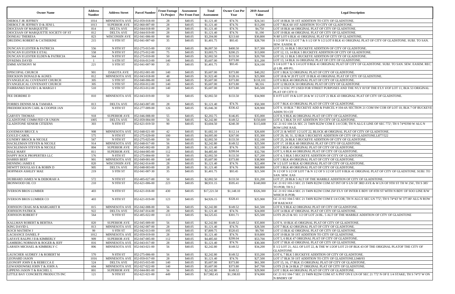| <b>Owner Name</b>                                                   | <b>Address</b><br><b>Number</b> | <b>Address Street</b>                            | <b>Parcel Number</b>             | <b>Front Footage</b><br><b>To Project</b> | <b>Assessment</b><br><b>Per Front Foot</b> | Total<br><b>Assessment</b> | <b>Owner Cost Per</b><br>Year | 2019 Assessed<br>Value | <b>Legal Description</b>                                                                                                                           |  |  |
|---------------------------------------------------------------------|---------------------------------|--------------------------------------------------|----------------------------------|-------------------------------------------|--------------------------------------------|----------------------------|-------------------------------|------------------------|----------------------------------------------------------------------------------------------------------------------------------------------------|--|--|
| <b>DIEBOLT JR JEFFREY</b>                                           | 1014                            | MINNESOTA AVE 052-059-018-00                     |                                  | 28                                        | \$40.05                                    | \$1,121.40                 | \$74.76                       | \$24,341               | LOT 18 BLK 59 1ST ADDITION TO CITY OF GLADSTONE.                                                                                                   |  |  |
| DIEBOLT JR JEFFREY D & JENI L                                       | 1013                            | <b>SUPERIOR AVE</b>                              | 052-060-007-00                   | 28                                        | \$40.05                                    | \$1,121.40                 | \$74.76                       | \$13,200               | LOT 7 BLK 60 1ST ADDITION TO CITY OF GLADSTONE.                                                                                                    |  |  |
| DIOCESAN OF MARQUETTE                                               | 814                             | DELTA AVE                                        | 052-044-018-00                   | 28                                        | \$40.05                                    | \$1,121.40                 | \$74.76                       | \$4,750                | LOT 18 BLK 44 ORIGINAL PLAT OF CITY OF GLADSTONE.                                                                                                  |  |  |
| DIOCESAN OF MARQUETTE SOCIETY OF ST                                 | 812                             | <b>DELTA AVE</b>                                 | 052-044-019-00                   | 28                                        | \$40.05                                    | \$1,121.40                 | \$74.76                       | \$1,190                | LOT 19 BLK 44 ORIGINAL PLAT OF CITY OF GLADSTONE.                                                                                                  |  |  |
| <b>DONEAU THERESA</b>                                               | 823                             | WISCONSIN AVE                                    | 052-041-006-00                   | 80                                        | \$40.05                                    | \$3,204.00                 | \$213.60                      | \$30,800               | N 80' LOT 6 BLK 41 ORIGINAL PLAT OF CITY OF GLADSTONE.                                                                                             |  |  |
| DRUDING ROBERT & CATHERINE                                          | 215                             | S 9TH ST                                         | 052-041-007-60                   | 35                                        | \$40.05                                    | \$1,401.75                 | \$93.45                       | \$28,700               | S 1/2 OF N 1/2 LOT 7 & S 1/2 OF N 1/2 LOT 8 BLK 41 ORIGINAL PLAT OF CITY OF GLADSTONE. SUBJ. TO SAN.<br>SEW. EASEM. R                              |  |  |
| <b>DUNCAN II LESTER &amp; PATRICIA</b>                              | 556                             | N 8TH ST                                         | 052-275-015-00                   | 150                                       | \$40.05                                    | \$6,007.50                 | \$400.50                      | \$17,300               | LOT 15, 16 BLK 5 BUCKEYE ADDITION OF CITY OF GLADSTONE                                                                                             |  |  |
| <b>DUNCAN II LESTER E ETAL</b><br>DUNCAN II LESTER ELDEN & PATRICIA | 558<br>564                      | N 8TH ST<br>N 8TH ST                             | 052-275-012-00<br>052-275-010-00 | 75<br>50                                  | \$40.05<br>\$40.05                         | \$3,003.75<br>\$2,002.50   | \$200.25<br>\$133.50          | \$13,000<br>\$20,700   | LOT 12, 13, 14 BLK 5 BUCKEYE ADDITION OF CITY OF GLADSTONE.<br>LOT 10, 11 BLK 5 BUCKEYE ADDITION OF CITY OF GLADSTONE                              |  |  |
| <b>DYKEMA DAVID</b>                                                 |                                 | S 6TH ST                                         | 052-016-013-00                   | 140                                       | \$40.05                                    | \$5,607.00                 | \$373.80                      | \$31,200               | LOT 13, 14 BLK 16 ORIGINAL PLAT OF CITY OF GLADSTONE                                                                                               |  |  |
| <b>EMMI ANTHONY M</b>                                               | 221                             | S 9TH ST                                         | 052-041-007-90                   | 35                                        | \$40.05                                    | \$1,401.75                 | \$93.45                       | \$24,100               | S 1/4 LOT 7 & S 1/4 LOT 8 BLK 41 ORIGINAL PLAT OF CITY OF GLADSTONE. SUBJ. TO SAN. SEW. EASEM. REC.<br>@ LIB. 409 PG.                              |  |  |
| <b>EPISCOPAL CHURCH</b>                                             | 901                             | DAKOTA AVE                                       | 052-052-001-00                   | 140                                       | \$40.05                                    | \$5,607.00                 | \$373.80                      | \$40,202               | LOT 1 BLK 52 ORIGINAL PLAT OF CITY OF GLADSTONE.                                                                                                   |  |  |
| <b>ERICKSON DONALD &amp; AGNES</b>                                  | 812                             | MINNESOTA AVE 052-043-018-00                     |                                  | 48                                        | \$40.05                                    | \$1,922.40                 | \$128.16                      | \$25,900               | LOT 18 & W 20 FT LOT 19 BLK 43 ORIGINAL PLAT OF CITY OF GLADSTONE.                                                                                 |  |  |
| EVANGELICAL COVENANT CHURCH                                         | 305                             | S 9TH ST                                         | 052-040-006-00                   | 140                                       | \$40.05                                    | \$5,607.00                 | \$373.80                      | \$118,101              | LOT 6 BLK 40 ORIGINAL PLAT OF CITY OF GLADSTONE.                                                                                                   |  |  |
| EVANGELICAL COVENANT CHURCH                                         | 305                             | S 9TH ST                                         | 052-050-012-00                   | 140                                       | \$40.05                                    | \$5,607.00                 | \$373.80                      | \$8,316                | LOT 12 BLOCK 50 ORIGINAL PLAT OF CITY OF GLADSTONE                                                                                                 |  |  |
| FAIRBANKS DAVID L & MARGO I                                         | 510                             | S 9TH ST                                         | 052-053-012-00                   | 140                                       | \$40.05                                    | \$5,607.00                 | \$373.80                      | \$45,500               | LOT 12 EXC PT USED FOR STREET PURPOSES AND THE N'LY 81'OF THE E'LY 6'OF LOT 11, BLK 53 ORIGINAL<br>PLAT OF CITY O                                  |  |  |
| FEE DEIRDRE D                                                       | 810                             | MINNESOTA AVE 052-043-019-00                     |                                  | 50                                        | \$40.05                                    | \$2,002.50                 | \$133.50                      | \$34,900               | E 8 FT LOT 19 & LOT 20 & W 1/2 LOT 21 BLK 43 ORIGINAL PLAT OF CITY OF GLADSTONE.                                                                   |  |  |
| FORBES DENNIS M & TAMARA                                            | 813                             | <b>DELTA AVE</b>                                 | 052-043-007-00                   | 28                                        | \$40.05                                    | \$1,121.40                 | \$74.76                       | \$50,300               | LOT 7 BLK 43 ORIGINAL PLAT OF CITY OF GLADSTONE.<br>LOT 9, 10 BLK 7 BUCKEYE ADD & PARCEL #104-4A SECTION 21 COM SW COR OF LOT 10, BLK 7 OF BUCKEYE |  |  |
| FREDERICKSON CARL & COOPER JAN                                      | 553                             | N 8TH ST                                         | 052-277-009-00                   | 126                                       | \$40.05                                    | \$5,046.30                 | \$336.42                      | \$28,900               | <b>ADDN TO CIT</b>                                                                                                                                 |  |  |
| <b>GARVEY THOMAS</b><br><b>GLADSTONE COMM FED CR UNION</b>          | 918<br>1005                     | <b>SUPERIOR AVE</b><br><b>DELTA AVE</b>          | 052-046-008-00<br>052-059-004-00 | 55<br>56                                  | \$40.05<br>\$40.05                         | \$2,202.75<br>\$2,242.80   | \$146.85<br>\$149.52          | \$35,000<br>\$150,600  | LOT 8, 9 BLK 46 ORIGINAL PLAT OF CITY OF GLADSTONE.<br>LOT 4, 5 BLK 59 1ST ADDITION TO CITY OF GLADSTONE.                                          |  |  |
| <b>GLADSTONE SENIOR CITIZENS</b>                                    | 303                             | N 8TH ST                                         | 052-621-019-50                   | 90                                        | \$40.05                                    | \$3,604.50                 | \$240.30                      | \$115,608              | GC 21 0/2 104-5A SEC 21 T40N R22W COM E 1/4 COR; TH N ALG E LINE OF SEC 772'; TH S 74*03'00 W ALG N                                                |  |  |
| <b>GOODMAN BRUCE A</b>                                              | 908                             | MINNESOTA AVE 052-048-021-00                     |                                  | 42                                        | \$40.05                                    | \$1,682.10                 | \$112.14                      | \$26,600               | <b>ROW LINE RAIL</b><br>LOT 21 & WEST 1/2 LOT 22, BLOCK 48 ORIGINAL PLAT OF CITY OF GLADSTONE.                                                     |  |  |
| <b>GOULD CAROL</b>                                                  | 575                             | N 9TH ST                                         | 052-275-029-00                   | 100                                       | \$40.05                                    | \$4,005.00                 | \$267.00                      | \$35,300               | LOT 29, 30, 31, 32 BLK 5 BUCKEYE ADDITION OF CITY OF GLADSTONE.L877/522                                                                            |  |  |
| <b>GUNDRY BROCK &amp; NICOLE</b>                                    | 567                             | N 9TH ST                                         | 052-275-025-00                   | 50                                        | \$40.05                                    | \$2,002.50                 | \$133.50                      | \$32,100               | LOT 25, 26 BLK 5 BUCKEYE ADDITION OF CITY OF GLADSTONE                                                                                             |  |  |
| HACKLEMAN STEVEN & NICOLE                                           | 914                             | <b>MINNESOTA AVE</b>                             | 052-048-017-00                   | 56                                        | \$40.05                                    | \$2,242.80                 | \$149.52                      | \$25,500               | LOT 17, 18 BLK 48 ORIGINAL PLAT OF CITY OF GLADSTONE.                                                                                              |  |  |
| HACKLEMAN STEVEN & NICOLE                                           | 804                             | <b>SUPERIOR AVE</b>                              | 052-045-002-00                   | 28                                        | \$40.05                                    | \$1,121.40                 | \$74.76                       | \$22,100               | LOT 2 BLK 45 ORIGINAL PLAT OF CITY OF GLADSTONE.                                                                                                   |  |  |
| HALE MARY                                                           | 811                             | SUPERIOR AVE 1052-044-005-00                     |                                  | 112                                       | \$40.05                                    | \$4,485.60                 | \$299.04                      | \$32,700               | LOT 5, 6 BLK 44 ORIGINAL PLAT OF CITY OF GLADSTONE.                                                                                                |  |  |
| HAPPY ROCK PROPERTIES LLC<br><b>HARRIS BERT</b>                     | 576<br>901                      | N 8TH ST<br>MINNESOTA AVE 052-049-001-00         | 052-275-004-00                   | 50<br>140                                 | \$40.05<br>\$40.05                         | \$2,002.50<br>\$5,607.00   | \$133.50<br>\$373.80          | \$27,200<br>\$38,900   | LOT 4, 5 BLK 5 BUCKEYE ADDITION OF CITY OF GLADSTONE.<br>LOT 1 BLK 49 ORIGINAL PLAT OF CITY OF GLADSTONE.                                          |  |  |
| <b>HENNING JAMES E</b>                                              | 820                             | <b>WISCONSIN AVE</b>                             | 052-042-014-00                   | 28                                        | \$40.05                                    | \$1,121.40                 | \$74.76                       | \$22,400               | W 1/2 LOT 14 BLK 42 ORIGINAL PLAT OF CITY OF GLADSTONE.                                                                                            |  |  |
| HEWITT DOUGLAS E & ROBIN D                                          | 905                             | <b>DELTA AVE</b>                                 | 052-048-003-00                   | 28                                        | \$40.05                                    | \$1,121.40                 | \$74.76                       | \$68,800               | LOT 3 BLK 48 ORIGINAL PLAT OF CITY OF GLADSTONE.                                                                                                   |  |  |
| HOFFMAN ASHLEY MAE                                                  | 219                             | S 9TH ST                                         | 052-041-007-30                   | 35                                        | \$40.05                                    | \$1,401.75                 | \$93.45                       | \$21,500               | N 1/2 OF S 1/2 OF LOT 7 & N 1/2 OF S 1/2 OF LOT 8 BLK 41 ORIGINAL PLAT OF CITY OF GLADSTONE. SUBJ. TO<br>SAN. SEW. EAS                             |  |  |
| HUBBARD JAMES W & DEBORAH A                                         | 572                             | N 9TH ST                                         | 052-405-027-00                   | 50                                        | \$40.05                                    | \$2,002.50                 | \$133.50                      | \$31,200               | LOT 27, 28 BLK 5 ALT OF THE MARBLE ADDITION OF CITY OF GLADSTONE.                                                                                  |  |  |
| <b>IRONWOOD OIL CO</b>                                              | 210                             | N 9TH ST                                         | 052-621-006-00                   | 223                                       | \$40.05                                    | \$8,931.15                 | \$595.41                      | \$140,000              | GC 21 0/2 103-3 SEC 21 T40N R22W COM AT INT OF S LN OF 3RD AVE & W LN OF 9TH ST TH W 256', TH S 385'<br>TO POB; TH S 2                             |  |  |
| <b>IVERSON BROS LUMBER</b>                                          | 403                             | N 8TH ST                                         | 052-621-018-00                   | 430                                       | \$40.05                                    | \$17,221.50                | \$1,148.10                    | \$326,300              | GC 21 0/2 104-4 SEC 21 T40N R22W COM 250' E'LY OF INTER E BDY OF 8TH ST WITH N BDY OF SOO LINE R/W<br>WHICH IS POB;                                |  |  |
| <b>IVERSON BROS LUMBER CO</b>                                       | 403                             | N 8TH ST                                         | 052-621-019-00                   | 123                                       | \$40.05                                    | \$4,926.15                 | \$328.41                      | \$25,900               | GC 21 0/2 104-5 SEC 21 T40N R22W COM E 1/4 COR; TH N ALG E SEC LN 772'; TH S 74*43' W 377.80' ALG N ROW<br><b>OF RAILWAY</b>                       |  |  |
| JOHNSON CRAIG M & MARGARET R                                        | 815                             | MINNESOTA AVE 052-042-008-00                     |                                  | 56                                        | \$40.05                                    | \$2,242.80                 | \$149.52                      | \$41,500               | LOT 8, 9 BLK 42 ORIGINAL PLAT OF CITY OF GLADSTONE.                                                                                                |  |  |
| <b>JOHNSON PATRICK</b><br><b>JOHNSON ROBERT F</b>                   | 922<br>564                      | DELTA AVE<br>N 9TH ST                            | 052-047-014-00<br>052-405-022-00 | 28<br>113                                 | \$40.05<br>\$40.05                         | \$1,121.40<br>\$4,525.65   | \$74.76<br>\$301.71           | \$24,000<br>\$25,500   | LOT 14 BLK 47 ORIGINAL PLAT OF CITY OF GLADSTONE.<br>LOTS 20-23 & SO. 1/2 OF LOT 24 BL. 5 ALT OF THE MARBLE ADDITION OF CITY OF GLADSTONE          |  |  |
| KALLMAN ROBERT & BERTHA                                             | 820                             | SUPERIOR AVE                                     | 052-045-009-00                   | 56                                        | \$40.05                                    | \$2,242.80                 | \$149.52                      | \$35,800               | LOT 9, 10 BLK 45 ORIGINAL PLAT OF CITY OF GLADSTONE.                                                                                               |  |  |
| <b>KING DAVID L</b>                                                 | 813                             | MINNESOTA AVE 052-042-007-00                     |                                  | 28                                        | \$40.05                                    | \$1,121.40                 | \$74.76                       | \$28,500               | LOT 7 BLK 42 ORIGINAL PLAT OF CITY OF GLADSTONE.                                                                                                   |  |  |
| <b>KOCH MATHEW J</b>                                                | -99                             | S 9TH ST                                         | 052-042-013-00                   | 195                                       | \$40.05                                    | \$7,809.75                 | \$520.65                      | \$9,700                | LOT 13 BLK 42 ORIGINAL PLAT OF CITY OF GLADSTONE.                                                                                                  |  |  |
| <b>LACHANCE DANIEL P</b>                                            | 1012                            | MINNESOTA AVE 052-059-019-00                     |                                  | 28                                        | \$40.05                                    | \$1,121.40                 | \$74.76                       | \$19,800               | LOT 19 BLK 59 1ST ADDITION TO CITY OF GLADSTONE.                                                                                                   |  |  |
| LAFAVE RALPH J II & KIMBERLY                                        | 909                             | <b>SUPERIOR AVE</b>                              | 052-047-005-00                   | 112                                       | \$40.05                                    | \$4,485.60                 | \$299.04                      | \$53,700               | LOT 5, 6 BLK 47 ORIGINAL PLAT OF CITY OF GLADSTONE.                                                                                                |  |  |
| LAMBERG NORMAN & ROGER & JEFF                                       | 816                             | MINNESOTA AVE 052-043-017-00                     |                                  | 28                                        | \$40.05                                    | \$1,121.40                 | \$74.76                       | \$30,300               | LOT 17 BLK 43 ORIGINAL PLAT OF CITY OF GLADSTONE.                                                                                                  |  |  |
| LARSEN MICHAEL & KIMBERLY C                                         | 806                             | MINNESOTA AVE 052-043-021-00                     |                                  | 56                                        | \$40.05                                    | \$2,242.80                 | \$149.52                      | \$34,200               | E 1/2 LOT 21, ALL OF LOT 22, & THE W 1/2OF LOT 23 OF BLK 43 OF THE ORIGINAL PLATOF THE CITY OF<br><b>GLADSTONE</b>                                 |  |  |
| LAUSCHER AUDREY J & ROBERT M                                        | 570                             | N 8TH ST                                         | 052-275-006-00                   | 56                                        | \$40.05                                    | \$2,242.80                 | \$149.52                      | \$33,200               | LOT 6, 7 BLK 5 BUCKEYE ADDITION OF CITY OF GLADSTONE.                                                                                              |  |  |
| <b>LEONARD JASON</b><br>LEONOFF JOHN E & REBECCA E                  | 1016<br>524                     | MINNESOTA AVE 052-059-017-00<br><b>DELTA AVE</b> | 052-015-015-00                   | 28<br>140                                 | \$40.05<br>\$40.05                         | \$1,121.40<br>\$5,607.00   | \$74.76<br>\$373.80           | \$27,500<br>\$61,300   | LOT 17 BLK 59 1ST ADDITION TO CITY OF GLADSTONE.L948/93<br>LOT 15, 16, 17 BLK 15 ORIGINAL PLAT OF CITY OF GLADSTONE.                               |  |  |
| LEWANDOWSKI JOHN T & JOHN A                                         | 604                             | MINNESOTA AVE 052-027-022-00                     |                                  | 140                                       | \$40.05                                    | \$5,607.00                 | \$373.80                      | \$47,700               | LOTS 23 & 24 BLK 27 ORIGINAL PLAT OF CITY OF GLADSTONE.                                                                                            |  |  |
| <b>LIPPENS JASON T &amp; RACHEL L</b>                               | 801                             | <b>SUPERIOR AVE</b>                              | 052-044-001-00                   | 56                                        | \$40.05                                    | \$2,242.80                 | \$149.52                      | \$29,900               | LOT 1 BLK 44 ORIGINAL PLAT OF CITY OF GLADSTONE.                                                                                                   |  |  |
| LITTLE BAY CONCRETE PRODUCTS INC                                    | 121                             | N 9TH ST                                         | 052-621-021-00                   | 449                                       | \$40.05                                    | \$17,982.45                | \$1,198.83                    | \$74,000               | GC 21 0/2 104-7 SEC 21 T40N R22W COM AT A PNT ON E LN OF SEC 21 772' N OF E 1/4 STAKE; TH S 74*3' W ON<br>N BNDRY OF                               |  |  |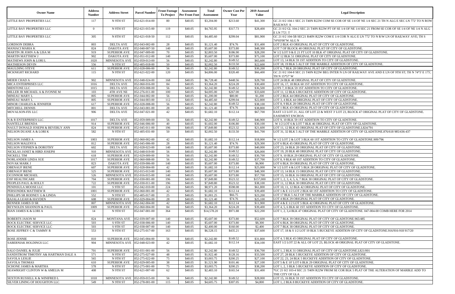| <b>Owner Name</b>                                   | <b>Address</b><br><b>Number</b> | <b>Address Street</b>                | <b>Parcel Number</b>             | <b>Front Footage</b><br><b>To Project</b> | <b>Assessment</b><br><b>Per Front Foot</b> | Total<br>Assessment       | <b>Owner Cost Per</b><br>Year | 2019 Assessed<br>Value | <b>Legal Description</b>                                                                                                                                                     |
|-----------------------------------------------------|---------------------------------|--------------------------------------|----------------------------------|-------------------------------------------|--------------------------------------------|---------------------------|-------------------------------|------------------------|------------------------------------------------------------------------------------------------------------------------------------------------------------------------------|
| LITTLE BAY PROPERTIES LLC                           | 117                             | N 9TH ST                             | $\overline{052}$ -621-014-00     | 80                                        | \$40.05                                    | \$3,204.00                | \$213.60                      | \$41,300               | GC 21 0/2 104-1 SEC 21 T40N R22W COM SE COR OF SE 1/4 OF NE 1/4 SEC 21 THN ALG E SEC LN 772' TO N ROW<br><b>RAILWAY A</b>                                                    |
| LITTLE BAY PROPERTIES LLC                           | $\overline{0}$                  | N 9TH ST                             | 052-621-015-00                   | 119                                       | \$40.05                                    | \$4,765.95                | \$317.73                      | \$28,400               | GC 21 0/2 GL 104-2 SEC 21 T40N R22W PT OF SE 1/4 OF NE 1/4 SEC 21 FROM SE COR OF SE 1/4 OF NE 1/4 N ALG<br>E LN 772'; T                                                      |
| LITTLE BAY PROPERTIES LLC                           | 305                             | N 8TH ST                             | 052-621-018-50                   | 112                                       | \$40.05                                    | \$4,485.60                | \$299.04                      | \$81,900               | GC 21 0/2 104-5B SEC21 R40N R22W COM E 1/4 COR N ALG E LN 772' TO N R/W LN OF RAILWAY AVE; TH S<br>74*03'00"W ALG N                                                          |
| <b>LORDSON DEBRA</b>                                | 803                             | <b>DELTA AVE</b>                     | 052-043-002-00                   | 28                                        | \$40.05                                    | \$1,121.40                | \$74.76                       | \$31,400               | LOT 2 BLK 43 ORIGINAL PLAT OF CITY OF GLADSTONE.                                                                                                                             |
| <b>MANIACI MARIA K</b>                              | 824                             | DAKOTA AVE                           | 052-040-007-50                   | 140                                       | \$40.05                                    | \$5,607.00                | \$373.80                      | \$48,300               | LOT 7 OF BLOCK 40 ORIGNAL PLAT OF CITY OF GLADSTONE.                                                                                                                         |
| MARTIN JR JOHN A & LISA M                           | 919                             | SUPERIOR AVE                         | 052-047-009-00                   | 70                                        | \$40.05                                    | \$2,803.50                | \$186.90                      | \$28,200               | W 1/2 LOT 9 & E 21 FT LOT 10 BLK 47 ORIGINAL PLAT OF CITY OF GLADSTONE.                                                                                                      |
| <b>MARTIN MATTHEW J</b>                             | 902                             | DAKOTA AVE                           | 052-051-012-00                   | 140                                       | \$40.05                                    | \$5,607.00                | \$373.80                      | \$75,100               | LOT 12 BLK 51 ORIGINAL PLAT OF CITY OF GLADSTONE.                                                                                                                            |
| MATHEWS JOHN & LORI L                               | 1020                            | MINNESOTA AVE                        | 052-059-013-00                   | 56                                        | \$40.05                                    | \$2,242.80                | \$149.52                      | \$65,600               | LOT 13, 14 BLK 59 1ST ADDITION TO CITY OF GLADSTONE.                                                                                                                         |
| <b>MATHIESON DEVIN</b>                              | 556                             | N 9TH ST                             | 052-405-018-00                   | 50                                        | \$40.05                                    | \$2,002.50                | \$133.50                      | \$22,600               | LOT 18, 19 BLK 5 ALT OF THE MARBLE ADDITION OF CITY OF GLADSTONE.                                                                                                            |
| MAULDING STEVE<br><b>MCKNIGHT RICHARD</b>           | 611<br>115                      | <b>SUPERIOR AVE</b><br>N 9TH ST      | 052-028-006-00<br>052-621-022-00 | 56<br>120                                 | \$40.05<br>\$40.05                         | \$2,242.80<br>\$4,806.00  | \$149.52<br>\$320.40          | \$30,200<br>\$66,400   | LOT 6, 7 BLK 28 ORIGINAL PLAT OF CITY OF GLADSTONE<br>GC 21 0/2 104-8 SEC 21 T40N R22W BEG INTER N LN OF RAILWAY AVE AND E LN OF 9TH ST; TH N 74*3' E 175',<br>TH N 15*57' W |
| MEIER CHAD A                                        | 902                             | MINNESOTA AVE 052-048-024-00         |                                  | 168                                       | \$40.05                                    | \$6,728.40                | \$448.56                      | \$28,700               | LOT 24 BLK 48 ORIGINAL PLAT OF CITY OF GLADSTONE.                                                                                                                            |
| MICA ENTERPRISES LLC                                | 1016                            | <b>DELTA AVE</b>                     | 052-060-016-00                   | 84                                        | \$40.05                                    | \$3,364.20                | \$224.28                      | \$30,400               | LOT 16, 17, 18 BLK 60 1ST ADDITION TO CITY OF GLADSTONE.                                                                                                                     |
| MIDSTONE LLC                                        | 1015                            | DELTA AVE                            | 052-059-008-00                   | 56                                        | \$40.05                                    | \$2,242.80                | \$149.52                      | \$36,500               | LOTS 7, 8 BLK 59 1ST ADDITION TO CITY OF GLADSTONE.                                                                                                                          |
| MILLER JR MICHAEL A & IVONNE M                      | 103                             | 4TH AVE NE                           | 052-276-011-00                   | 100                                       | \$40.05                                    | \$4,005.00                | \$267.00                      | \$33,600               | LOT 11, 12 BLK 6 BUCKEYE ADDITION OF CITY OF GLADSTONE.                                                                                                                      |
| MINEAU MARY L                                       | 805                             | <b>SUPERIOR AVE</b>                  | 052-044-002-00                   | 56                                        | \$40.05                                    | \$1,200.00                | \$80.00                       | \$1,200                | LOT 2 BLK 44 ORIGINAL PLAT OF CITY OF GLADSTONE.                                                                                                                             |
| <b>MINEAU MARY L</b>                                | 805                             | <b>SUPERIOR AVE</b>                  | 052-044-003-00                   | 112                                       | \$40.05                                    | \$4,485.60                | \$299.04                      | \$22,800               | LOT 3, 4 BLK 44 ORIGINAL PLAT OF CITY OF GLADSTONE.                                                                                                                          |
| MINOR CHARLES & JENNIFER                            | 617                             | <b>SUPERIOR AVE</b>                  | 052-028-008-00                   | 56                                        | \$40.05                                    | \$2,242.80                | \$149.52                      | \$38,100               | LOT 8, 9 BLK 28 ORIGINAL PLAT OF CITY OF GLADSTONE.                                                                                                                          |
| MITCHELL DENNIS<br>MOVALSON-FIX LLC                 | 801<br>906                      | <b>DELTA AVE</b><br><b>DELTA AVE</b> | 052-043-001-00<br>052-047-021-00 | 28<br>42                                  | \$40.05<br>\$40.05                         | \$1,121.40<br>\$1,682.10  | \$74.76<br>\$112.14           | \$38,800<br>\$67,700   | LOT 1 BLK 43 ORIGINAL PLAT OF CITY OF GLADSTONE.<br>EAST 1/2 LOT 21, ALL OF LOT 22 & WEST 3' LOT 23, BLOCK 47 ORIGINAL PLAT OF CITY OF GLADSTONE.<br><b>EASEMENT ENCROA</b>  |
| N & R ENTERPRISES LLC                               | 1017                            | <b>DELTA AVE</b>                     | 052-059-009-00                   | 56                                        | \$40.05                                    | \$2,242.80                | \$149.52                      | \$46,900               | LOT 9, 10 BLK 59 1ST ADDITION TO CITY OF GLADSTONE.                                                                                                                          |
| <b>NANTELLE BRENDA</b>                              | 914                             | <b>SUPERIOR AVE</b>                  | 052-046-006-00                   | 40                                        | \$40.05                                    | \$1,602.00                | \$106.80                      | \$30,100               | . W 1/2 LOT 6 & LOT 7 BLK 46 ORIGINAL PLAT OF CITY OF GLADSTONE.                                                                                                             |
| NAULT DONALD JOSEPH & BEVERLY ANN                   | 824                             | <b>SUPERIOR AVE</b>                  | 052-045-011-00                   | 196                                       | \$40.05                                    | \$7,849.80                | \$523.32                      | \$21,600               | LOT 11, 12 BLK 45 ORIGINAL PLAT OF CITY OF GLADSTONE.L824/791                                                                                                                |
| NELSON DUANE A & LORI K                             | 582                             | N 9TH ST                             | 052-405-031-00                   | 50                                        | \$40.05                                    | \$2,002.50                | \$133.50                      | \$41,700               | LOT 31, 32 BLK 5 ALT OF THE MARBLE ADDITION OF CITY OF GLADSTONE.876/618 985/436-437                                                                                         |
| <b>NELSON JAMES A</b>                               | 1003                            | <b>SUPERIOR AVE</b>                  | 052-060-002-00                   | 42                                        | \$40.05                                    | \$1,682.10                | \$112.14                      | \$18,000               | W 1/2 LOT 2 & LOT 3 BLK 60 1ST ADDITION TO CITY OF GLADSTONE.909/796                                                                                                         |
| <b>NELSON MALENYA</b>                               | 812                             | <b>SUPERIOR AVE</b>                  | 052-045-006-00                   | 28                                        | \$40.05                                    | \$1,121.40                | \$74.76                       | \$29,300               | LOT 6 BLK 45 ORIGINAL PLAT OF CITY OF GLADSTONE.                                                                                                                             |
| NELSON STEPHEN & DOROTHY                            | 602                             | DELTA AVE                            | 052-028-023-00                   | 140                                       | \$40.05                                    | \$5,607.00                | \$373.80                      | \$40,000               | LOT 23, 24 BLK 28 ORIGINAL PLAT OF CITY OF GLADSTONE.                                                                                                                        |
| NICKLAS JANET & HIRD JOSEPH                         | 910                             | MINNESOTA AVE 052-048-019-00         |                                  | 56                                        | \$40.05                                    | \$2,242.80                | \$149.52                      | \$26,000               | LOT 19, 20 BLK 48 ORIGINAL PLAT OF CITY OF GLADSTONE.                                                                                                                        |
| NICKELL TIM                                         | 618                             | <b>SUPERIOR AVE</b>                  | 052-029-009-00                   | 56                                        | \$40.05                                    | \$2,242.80                | \$149.52                      | \$30,700               | LOT 9, 10 BLK 29 ORIGINAL PLAT OF CITY OF GLADSTONE                                                                                                                          |
| NORLANDER LINDA SUE                                 | 1017                            | SUPERIOR AVE                         | 052-060-008-00                   | 56                                        | \$40.05                                    | \$2,242.80                | \$149.52                      | \$37,700               | LOT 8, 9 BLK 60 1ST ADDITION TO CITY OF GLADSTONE.                                                                                                                           |
| NOVAK MARK J<br><b>OBENAUF IRENE</b>                | 823<br>607                      | DAKOTA AVE<br><b>SUPERIOR AVE</b>    | 052-039-006-00<br>052-028-004-00 | 140<br>42                                 | \$40.05<br>\$40.05                         | \$5,607.00<br>\$1,682.10  | \$373.80<br>\$112.14          | \$6,900<br>\$25,000    | LOT 6 BLK 39 ORIGINAL PLAT OF CITY OF GLADSTONE.<br>W 1/2 LOT 4 & LOT 5 BLK 28 ORIGINAL PLAT OF CITY OF GLADSTONE.                                                           |
| <b>OBENAUF IRENE</b>                                | 525                             | SUPERIOR AVE 052-015-013-00          |                                  | 140                                       | \$40.05                                    | \$5,607.00                | \$373.80                      | \$48,300               | LOT 13, 14 BLK 15 ORIGINAL PLAT OF CITY OF GLADSTONE.                                                                                                                        |
| <b>OCONNOR MICHAEL</b>                              | 526                             | MINNESOTA AVE 052-016-015-00         |                                  | 140                                       | \$40.05                                    | \$5,607.00                | \$373.80                      | \$57,700               | LOT 15, 16 BLK 16 ORIGINAL PLAT OF CITY OF GLADSTONE.                                                                                                                        |
| <b>OSF HEALTHCARE</b>                               | 704                             | <b>SUPERIOR AVE</b>                  | 052-030-001-00                   | 196                                       | \$40.05                                    | \$7,849.80                | \$523.32                      | \$157,000              | LOT 1, 2, 3, 4, 5, 6, 7 BLK 30 ORIGINAL PLAT OF CITY OF GLADSTONE.                                                                                                           |
| PEOPLES PAUL & HOLLY                                | 722                             | <b>SUPERIOR AVE</b>                  | 052-030-011-00                   | 196                                       | \$40.05                                    | \$7,849.80                | \$523.32                      | \$38,100               | LOT 11, 12 BLK 30 ORIGINAL PLAT OF CITY OF GLADSTONE.                                                                                                                        |
| PENINSULA MOOSE LLC                                 | 101                             | S 9TH ST                             | 052-042-010-00                   | 224                                       | \$40.05                                    | \$8,971.20                | \$598.08                      | \$61,800               | LOT 10, 11, 12 BLK 42 ORIGINAL PLAT OF CITY OF GLADSTONE.                                                                                                                    |
| PERSONDEK MATTHEW R                                 | 1001                            | <b>SUPERIOR AVE</b>                  | 052-060-001-00                   | 42                                        | \$40.05                                    | \$1,682.10                | \$112.14                      | \$39,400               | LOT 1 & E 1/2 LOT 2 BLK 60 1ST ADDITION TO CITY OF GLADSTONE.                                                                                                                |
| PHILLIPS SR RODNEY G & LINDA                        | 552                             | N 9TH ST                             | 052-405-017-00                   | 25                                        | \$40.05                                    | \$1,001.25                | \$66.75                       | \$23,200               | LOT 17 BLK 5 ALT OF THE MARBLE ADDITION OF CITY OF GLADSTONE.                                                                                                                |
| RAJALA LEAH & HAYDEN                                | 608                             | <b>SUPERIOR AVE</b>                  | 052-029-004-00                   | 28                                        | \$40.05                                    | \$1,121.40                | \$74.76                       | \$25,100               | LOT 4 BLK 29 ORIGINAL PLAT OF CITY OF GLADSTONE.                                                                                                                             |
| <b>RENNER JAMES D SR</b>                            | 807                             | MINNESOTA AVE                        | 052-042-004-00                   | 42                                        | \$40.05                                    | \$1,682.10                | \$112.14                      | \$11,900               | LOT 4 & E 1/2 LOT 5 BLK 42 ORIGINAL PLAT OF CITY OF GLADSTONE.                                                                                                               |
| REYNOLDS SHANNON & PAUL                             | 1009                            | <b>SUPERIOR AVE</b>                  | 052-060-004-00                   | 84                                        | \$40.05                                    | \$3,364.20                | \$224.28                      | \$39,400               | LOT 4, 5, 6 BLK 60 1ST ADDITION TO CITY OF GLADSTONE.                                                                                                                        |
| RIAN JAMES K & LORI A                               | 14                              | N 9TH ST<br>MONTANA AVE              | 052-047-001-00<br>052-039-007-00 | 364<br>140                                | \$40.05<br>\$40.05                         | \$14,578.20<br>\$5,607.00 | \$971.88<br>\$373.80          | \$22,200<br>\$52,600   | LOT 1, 2, 3,4 BLK 47 ORIGINAL PLAT OF CITY OF GLADSTONE. 047-004-00 COMB HERE FOR 2014<br>LOT 7 BLK 39 ORIGINAL PLAT OF CITY OF GLADSTONE.965/485                            |
| <b>ROBERTS JASON M</b><br>ROCK ELECTRIC SERVICE LLC | 824<br>503                      | S 9TH ST                             | 052-038-006-00                   | 140                                       | \$40.05                                    | \$5,607.00                | \$373.80                      | \$8,300                | LOT 6 BLK 38 ORIGINAL PLAT OF CITY OF GLADSTONE.                                                                                                                             |
| ROCK ELECTRIC SERVICE LLC                           | 503                             | S 9TH ST                             | 052-038-007-00                   | 140                                       | \$40.05                                    | \$2,400.00                | \$160.00                      | \$2,400                | LOT 7 BLK 38 ORIGINAL PLAT OF CITY OF GLADSTONE.                                                                                                                             |
| ROSE JEFFREY C & TAMMY R                            | 553                             | N 9TH ST                             | 052-275-017-00                   | 163                                       | \$40.05                                    | \$6,528.15                | \$435.21                      | \$37,600               | LOT 17, 18 & S 1/2 LOT 19 BLK 5 BUCKEYE ADDITION OF CITY OF GLADSTONE.916/916-918 917/20                                                                                     |
| <b>ROSE JENNIE</b>                                  | 810                             | <b>SUPERIOR AVE</b>                  | 052-045-004-00                   | 56                                        | \$40.05                                    | \$2,242.80                | \$149.52                      | \$31,800               | LOT 4, 5 BLK 45 ORIGINAL PLAT OF CITY OF GLADSTONE.                                                                                                                          |
| SABERNIAK HOLDINGS LLC                              | 904                             | MINNESOTA AVE                        | 052-048-023-00                   | 42                                        | \$40.05                                    | \$1,682.10                | \$112.14                      | \$34,100               | EAST 1/2 LOT 22 & ALL OF LOT 23, BLOCK 48 ORIGINAL PLAT OF CITY OF GLADSTONE.                                                                                                |
| <b>SALO DANIEL &amp; JULIE</b>                      | 701                             | <b>SUPERIOR AVE</b>                  | 052-031-001-00                   | 56                                        | \$40.05                                    | \$2,242.80                | \$149.52                      | \$36,700               | LOT 1, 2 BLK 31 ORIGINAL PLAT OF CITY OF GLADSTONE.L821/001                                                                                                                  |
| SANDSTROM TIMOTHY A& HARTMAN DALE A                 | 571                             | N 9TH ST                             | 052-275-027-00                   | 48                                        | \$40.05                                    | \$1,922.40                | \$128.16                      | \$33,500               | LOT 27, 28 BLK 5 BUCKEYE ADDITION OF CITY OF GLADSTONE.                                                                                                                      |
| <b>SAVOLA LESLIE</b>                                | 565                             | N 9TH ST                             | 052-275-022-00                   | 75                                        | \$40.05                                    | \$3,003.75                | \$200.25                      | \$27,100               | LOT 22, 23, 24 BLK 5 BUCKEYE ADDITION OF CITY OF GLADSTONE.                                                                                                                  |
| <b>SAVOLA THOMAS</b>                                | 610                             | <b>SUPERIOR AVE</b>                  | 052-029-005-00                   | 38                                        | \$40.05                                    | \$1,521.90                | \$101.46                      | \$27,100               | LOT 5 & E 10' LOT 6 BLK 29 ORIGINAL PLAT OF CITY OF GLADSTONE.                                                                                                               |
| <b>SCHONE JAMES &amp; MARTHA</b>                    | 578                             | N 8TH ST                             | 052-275-001-00                   | 75                                        | \$40.05                                    | \$3,003.75                | \$200.25                      | \$38,200               | LOT 1, 2, 3 BLK 5 BUCKEYE ADDITION OF CITY OF GLADSTONE.                                                                                                                     |
| SEAWRIGHT CLINTON W & AMELIA M                      | 408                             | N 9TH ST                             | 052-621-007-00                   | 62                                        | \$40.05                                    | \$2,483.10                | \$165.54                      | \$31,400               | *GC 21 0/2 103-4 SEC 21 T40N R22W FROM SE COR BLK 5 PLAT OF THE ALTERATION OF MARBLE ADD TO<br>THE CITY OF GLA                                                               |
| SEXTON RUSSELL K & WINIFRED L                       | 1018                            | MINNESOTA AVE 052-059-015-00         |                                  | 56                                        | \$40.05                                    | \$2,242.80                | \$149.52                      | \$28,000               | LOT 15, 16 BLK 59 1ST ADDITION TO CITY OF GLADSTONE.                                                                                                                         |
| SILVER LINING OF HOUGHTON LLC                       | 549                             | N 9TH ST                             | 052-278-001-00                   | 115                                       | \$40.05                                    | \$4,605.75                | \$307.05                      | \$4,800                | LOT 1, 2 BLK 8 BUCKEYE ADDITION OF CITY OF GLADSTONE.                                                                                                                        |